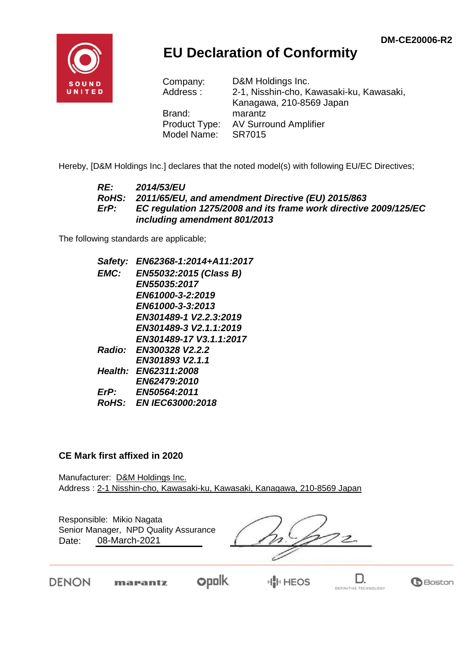

## **EU Declaration of Conformity**

| Company:      | D&M Holdings Inc.                        |
|---------------|------------------------------------------|
| Address:      | 2-1, Nisshin-cho, Kawasaki-ku, Kawasaki, |
|               | Kanagawa, 210-8569 Japan                 |
| Brand:        | marantz                                  |
| Product Type: | <b>AV Surround Amplifier</b>             |
| Model Name:   | SR7015                                   |

Hereby, [D&M Holdings Inc.] declares that the noted model(s) with following EU/EC Directives;

#### *RE: 2014/53/EU RoHS: 2011/65/EU, and amendment Directive (EU) 2015/863 ErP: EC regulation 1275/2008 and its frame work directive 2009/125/EC including amendment 801/2013*

The following standards are applicable;

*Safety: EN62368-1:2014+A11:2017 EMC: EN55032:2015 (Class B) EN55035:2017 EN61000-3-2:2019 EN61000-3-3:2013 EN301489-1 V2.2.3:2019 EN301489-3 V2.1.1:2019 EN301489-17 V3.1.1:2017 Radio: EN300328 V2.2.2 EN301893 V2.1.1 Health: EN62311:2008 EN62479:2010 ErP: EN50564:2011 RoHS: EN IEC63000:2018*

#### **CE Mark first affixed in 2020**

Manufacturer: D&M Holdings Inc. Address : 2-1 Nisshin-cho, Kawasaki-ku, Kawasaki, Kanagawa, 210-8569 Japan

Responsible: Mikio Nagata Date: 08-March-2021 Senior Manager, NPD Quality Assurance

 $\overline{\mathcal{Z}}$ 

DENON

**opolk** marantz

D. DEFINITIVE TECHNOLOGY

**B**Boston